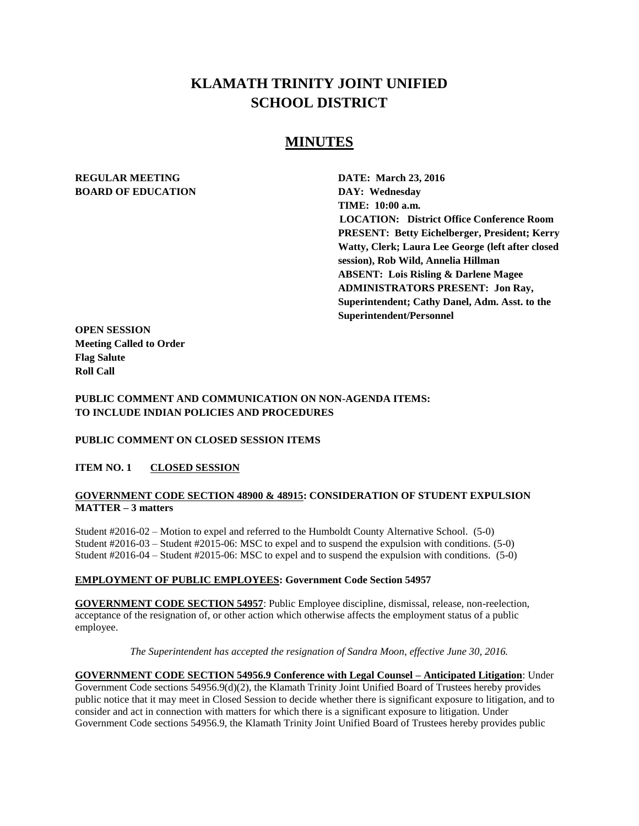# **KLAMATH TRINITY JOINT UNIFIED SCHOOL DISTRICT**

# **MINUTES**

# **REGULAR MEETING DATE: March 23, 2016 BOARD OF EDUCATION DAY: Wednesday**

**TIME: 10:00 a.m. LOCATION: District Office Conference Room PRESENT: Betty Eichelberger, President; Kerry Watty, Clerk; Laura Lee George (left after closed session), Rob Wild, Annelia Hillman ABSENT: Lois Risling & Darlene Magee ADMINISTRATORS PRESENT: Jon Ray, Superintendent; Cathy Danel, Adm. Asst. to the Superintendent/Personnel** 

**OPEN SESSION Meeting Called to Order Flag Salute Roll Call**

**PUBLIC COMMENT AND COMMUNICATION ON NON-AGENDA ITEMS: TO INCLUDE INDIAN POLICIES AND PROCEDURES**

#### **PUBLIC COMMENT ON CLOSED SESSION ITEMS**

#### **ITEM NO. 1 CLOSED SESSION**

#### **GOVERNMENT CODE SECTION 48900 & 48915: CONSIDERATION OF STUDENT EXPULSION MATTER – 3 matters**

Student #2016-02 – Motion to expel and referred to the Humboldt County Alternative School. (5-0) Student #2016-03 – Student #2015-06: MSC to expel and to suspend the expulsion with conditions. (5-0) Student #2016-04 – Student #2015-06: MSC to expel and to suspend the expulsion with conditions. (5-0)

#### **EMPLOYMENT OF PUBLIC EMPLOYEES: Government Code Section 54957**

**GOVERNMENT CODE SECTION 54957**: Public Employee discipline, dismissal, release, non-reelection, acceptance of the resignation of, or other action which otherwise affects the employment status of a public employee.

*The Superintendent has accepted the resignation of Sandra Moon, effective June 30, 2016.* 

**GOVERNMENT CODE SECTION 54956.9 Conference with Legal Counsel – Anticipated Litigation**: Under Government Code sections 54956.9(d)(2), the Klamath Trinity Joint Unified Board of Trustees hereby provides public notice that it may meet in Closed Session to decide whether there is significant exposure to litigation, and to consider and act in connection with matters for which there is a significant exposure to litigation. Under Government Code sections 54956.9, the Klamath Trinity Joint Unified Board of Trustees hereby provides public